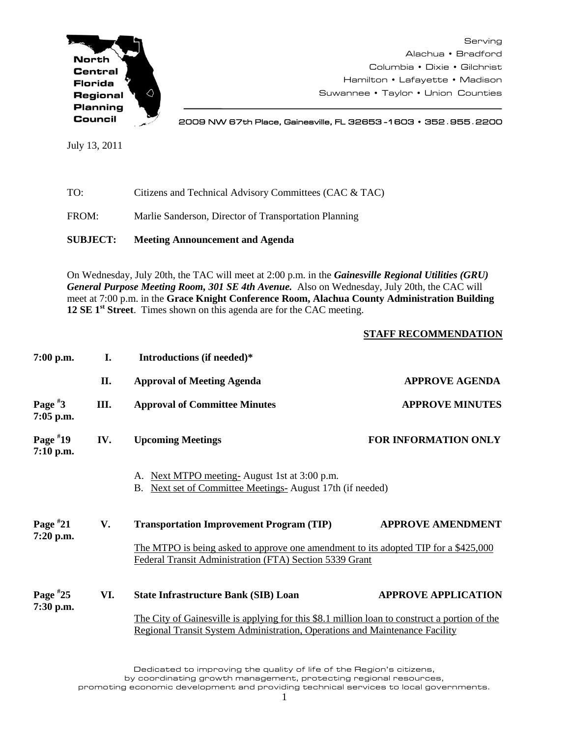

Serving Alachua • Bradford Columbia • Dixie • Gilchrist Hamilton • Lafayette • Madison Suwannee • Taylor • Union Counties

2009 NW 67th Place, Gainesville, FL 32653 -1603 • 352**.**955**.**2200

July 13, 2011

| TO:   | Citizens and Technical Advisory Committees (CAC & TAC) |
|-------|--------------------------------------------------------|
| FROM: | Marlie Sanderson, Director of Transportation Planning  |

**SUBJECT: Meeting Announcement and Agenda**

On Wednesday, July 20th, the TAC will meet at 2:00 p.m. in the *Gainesville Regional Utilities (GRU) General Purpose Meeting Room, 301 SE 4th Avenue.* Also on Wednesday, July 20th, the CAC will meet at 7:00 p.m. in the **Grace Knight Conference Room, Alachua County Administration Building 12 SE 1st Street**. Times shown on this agenda are for the CAC meeting.

## **STAFF RECOMMENDATION**

| $7:00$ p.m.               | I.  | Introductions (if needed)*                                                                                                                                                   |                             |  |
|---------------------------|-----|------------------------------------------------------------------------------------------------------------------------------------------------------------------------------|-----------------------------|--|
|                           | П.  | <b>Approval of Meeting Agenda</b>                                                                                                                                            | <b>APPROVE AGENDA</b>       |  |
| Page $*3$<br>$7:05$ p.m.  | Ш.  | <b>Approval of Committee Minutes</b>                                                                                                                                         | <b>APPROVE MINUTES</b>      |  |
| Page $*19$<br>$7:10$ p.m. | IV. | <b>Upcoming Meetings</b>                                                                                                                                                     | <b>FOR INFORMATION ONLY</b> |  |
|                           |     | A. Next MTPO meeting-August 1st at 3:00 p.m.<br>Next set of Committee Meetings-August 17th (if needed)<br>B.                                                                 |                             |  |
| Page $*21$                | V.  | <b>Transportation Improvement Program (TIP)</b>                                                                                                                              | <b>APPROVE AMENDMENT</b>    |  |
| $7:20$ p.m.               |     | The MTPO is being asked to approve one amendment to its adopted TIP for a \$425,000<br>Federal Transit Administration (FTA) Section 5339 Grant                               |                             |  |
| Page $*25$                | VI. | <b>State Infrastructure Bank (SIB) Loan</b>                                                                                                                                  | <b>APPROVE APPLICATION</b>  |  |
| 7:30 p.m.                 |     | The City of Gainesville is applying for this \$8.1 million loan to construct a portion of the<br>Regional Transit System Administration, Operations and Maintenance Facility |                             |  |